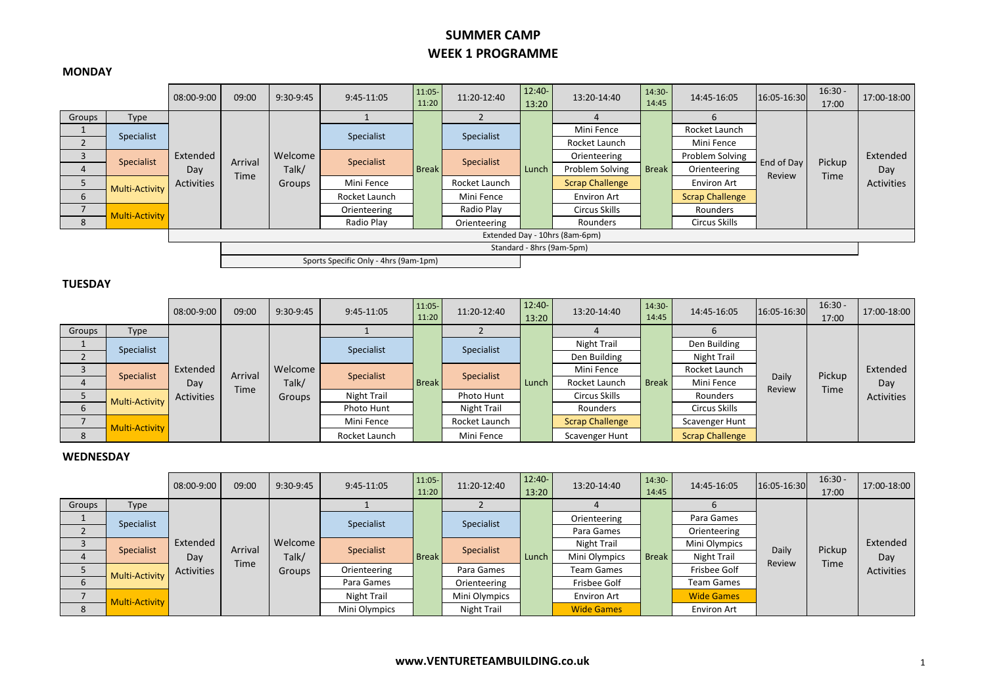## **SUMMER CAMP WEEK 1 PROGRAMME**

#### **MONDAY**

|                           |                       | 08:00-9:00                     | 09:00       | $9:30-9:45$                | 9:45-11:05                            | $11:05 -$<br>11:20 | 11:20-12:40   | $12:40-$<br>13:20 | 13:20-14:40            | $14:30-$<br>14:45 | 14:45-16:05            | 16:05-16:30          | $16:30 -$<br>17:00 | 17:00-18:00       |               |  |          |  |  |  |
|---------------------------|-----------------------|--------------------------------|-------------|----------------------------|---------------------------------------|--------------------|---------------|-------------------|------------------------|-------------------|------------------------|----------------------|--------------------|-------------------|---------------|--|----------|--|--|--|
| Groups                    | Type                  |                                |             |                            |                                       |                    |               |                   |                        |                   |                        |                      |                    |                   |               |  |          |  |  |  |
|                           | Specialist            |                                |             |                            | Specialist                            |                    | Specialist    |                   | Mini Fence             |                   | Rocket Launch          |                      |                    |                   |               |  |          |  |  |  |
|                           |                       |                                |             |                            |                                       |                    |               |                   | Rocket Launch          |                   | Mini Fence             |                      |                    |                   |               |  |          |  |  |  |
|                           | Specialist            | Extended                       | Arrival     | Welcome<br>Talk/<br>Groups | Specialist                            | Specialist         |               | Orienteering      |                        | Problem Solving   |                        | Pickup               | Extended           |                   |               |  |          |  |  |  |
|                           |                       | Day<br>Activities              |             |                            |                                       | <b>Break</b>       |               | Lunch             | Problem Solving        | <b>Break</b>      | Orienteering           | End of Day<br>Review | <b>Time</b>        | Day<br>Activities |               |  |          |  |  |  |
|                           | <b>Multi-Activity</b> |                                | <b>Time</b> |                            | Mini Fence                            |                    | Rocket Launch |                   | <b>Scrap Challenge</b> |                   | <b>Environ Art</b>     |                      |                    |                   |               |  |          |  |  |  |
| $\mathbf b$               |                       |                                |             |                            | Rocket Launch                         |                    | Mini Fence    |                   | <b>Environ Art</b>     |                   | <b>Scrap Challenge</b> |                      |                    |                   |               |  |          |  |  |  |
|                           | <b>Multi-Activity</b> |                                |             |                            |                                       |                    |               |                   |                        |                   | Orienteering           |                      | Radio Play         |                   | Circus Skills |  | Rounders |  |  |  |
| 8                         |                       |                                |             |                            | Radio Play                            |                    | Orienteering  |                   | Rounders               |                   | Circus Skills          |                      |                    |                   |               |  |          |  |  |  |
|                           |                       | Extended Day - 10hrs (8am-6pm) |             |                            |                                       |                    |               |                   |                        |                   |                        |                      |                    |                   |               |  |          |  |  |  |
| Standard - 8hrs (9am-5pm) |                       |                                |             |                            |                                       |                    |               |                   |                        |                   |                        |                      |                    |                   |               |  |          |  |  |  |
|                           |                       |                                |             |                            | Sports Specific Only - 4hrs (9am-1pm) |                    |               |                   |                        |                   |                        |                      |                    |                   |               |  |          |  |  |  |

### **TUESDAY**

|        |                       | 08:00-9:00 | 09:00       | 9:30-9:45       | $9:45-11:05$ | $11:05 -$<br>11:20 | 11:20-12:40   | $12:40-$<br>13:20 | 13:20-14:40            | $14:30-$<br>14:45 | 14:45-16:05    | 16:05-16:30            | $16:30 -$<br>17:00 | 17:00-18:00 |          |  |               |  |  |
|--------|-----------------------|------------|-------------|-----------------|--------------|--------------------|---------------|-------------------|------------------------|-------------------|----------------|------------------------|--------------------|-------------|----------|--|---------------|--|--|
| Groups | Type                  |            |             |                 |              |                    |               |                   |                        |                   |                |                        |                    |             |          |  |               |  |  |
|        | Specialist            |            |             |                 | Specialist   |                    | Specialist    |                   | Night Trail            |                   | Den Building   |                        |                    |             |          |  |               |  |  |
|        | Specialist            | Extended   |             |                 |              |                    |               |                   | Den Building           |                   | Night Trail    |                        | Pickup             | Extended    |          |  |               |  |  |
|        |                       |            | Arrival     | Welcome         | Specialist   |                    | Specialist    |                   | Mini Fence             |                   | Rocket Launch  | Daily                  |                    |             |          |  |               |  |  |
| 4      |                       | Day        | <b>Time</b> | Talk/<br>Groups |              | <b>Break</b>       |               | Lunch             | Rocket Launch          | <b>Break</b>      | Mini Fence     | Review                 | <b>Time</b>        | Day         |          |  |               |  |  |
|        | <b>Multi-Activity</b> | Activities |             |                 | Night Trail  |                    | Photo Hunt    | Circus Skills     |                        | Rounders          |                |                        | <b>Activities</b>  |             |          |  |               |  |  |
|        |                       |            |             |                 |              |                    |               |                   |                        |                   | Photo Hunt     |                        | Night Trail        |             | Rounders |  | Circus Skills |  |  |
|        | <b>Multi-Activity</b> |            |             |                 | Mini Fence   |                    | Rocket Launch |                   | <b>Scrap Challenge</b> |                   | Scavenger Hunt |                        |                    |             |          |  |               |  |  |
| 8      |                       |            |             |                 |              | Rocket Launch      |               | Mini Fence        |                        | Scavenger Hunt    |                | <b>Scrap Challenge</b> |                    |             |          |  |               |  |  |

### **WEDNESDAY**

|        |                       | 08:00-9:00 | 09:00       | $9:30-9:45$ | $9:45-11:05$               | $11:05-$<br>11:20 | 11:20-12:40   | $12:40-$<br>13:20 | 13:20-14:40        | $14:30-$<br>14:45 | 14:45-16:05        | 16:05-16:30 | $16:30 -$<br>17:00 | 17:00-18:00       |                   |  |  |
|--------|-----------------------|------------|-------------|-------------|----------------------------|-------------------|---------------|-------------------|--------------------|-------------------|--------------------|-------------|--------------------|-------------------|-------------------|--|--|
| Groups | Type                  |            |             |             |                            |                   |               |                   |                    |                   |                    |             |                    |                   |                   |  |  |
|        | Specialist            |            |             |             | Specialist                 |                   | Specialist    |                   | Orienteering       |                   | Para Games         |             |                    |                   |                   |  |  |
|        | Specialist            | Extended   |             |             | Specialist<br><b>Break</b> |                   |               | Para Games        |                    | Orienteering      |                    |             |                    |                   |                   |  |  |
|        |                       |            | Arrival     | Welcome     |                            |                   | Specialist    |                   | Night Trail        |                   | Mini Olympics      | Daily       | Pickup             | Extended          |                   |  |  |
|        |                       | Day        | <b>Time</b> | Talk/       |                            |                   |               | Lunch             | Mini Olympics      | <b>Break</b>      | Night Trail        | Review      | <b>Time</b>        | Day               |                   |  |  |
|        | <b>Multi-Activity</b> | Activities |             | Groups      | Orienteering               |                   | Para Games    |                   | <b>Team Games</b>  |                   | Frisbee Golf       |             |                    | <b>Activities</b> |                   |  |  |
| 6      |                       |            |             |             |                            |                   |               |                   | Para Games         |                   | Orienteering       |             | Frisbee Golf       |                   | <b>Team Games</b> |  |  |
|        | Multi-Activity        |            |             |             | Night Trail                |                   | Mini Olympics |                   | <b>Environ Art</b> |                   | <b>Wide Games</b>  |             |                    |                   |                   |  |  |
| 8      |                       |            |             |             | Mini Olympics              |                   | Night Trail   |                   | <b>Wide Games</b>  |                   | <b>Environ Art</b> |             |                    |                   |                   |  |  |